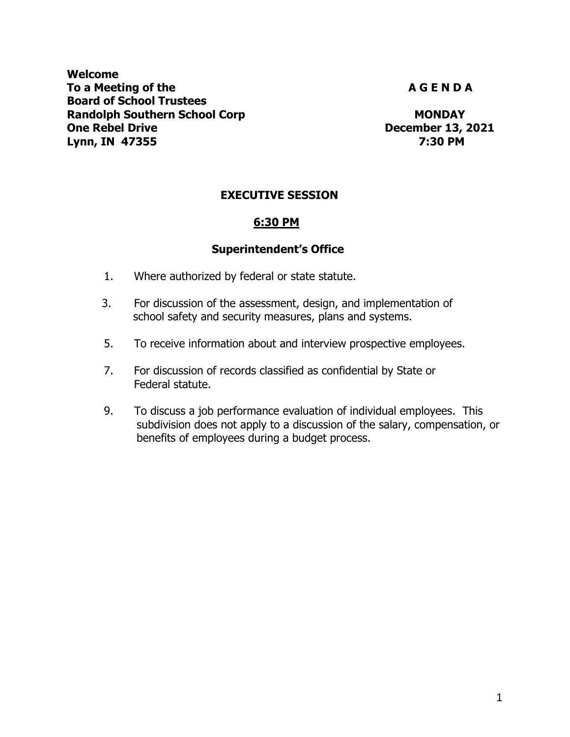**Welcome** To a Meeting of the **A G E N D A** G E N D A **Board of School Trustees Randolph Southern School Corp MONDAY MONDAY One Rebel Drive December 13, 2021 Lynn, IN 47355 7:30 PM**

# **EXECUTIVE SESSION**

# **6:30 PM**

#### **Superintendent's Office**

- 1. Where authorized by federal or state statute.
- 3. For discussion of the assessment, design, and implementation of school safety and security measures, plans and systems.
- 5. To receive information about and interview prospective employees.
- 7. For discussion of records classified as confidential by State or Federal statute.
- 9. To discuss a job performance evaluation of individual employees. This subdivision does not apply to a discussion of the salary, compensation, or benefits of employees during a budget process.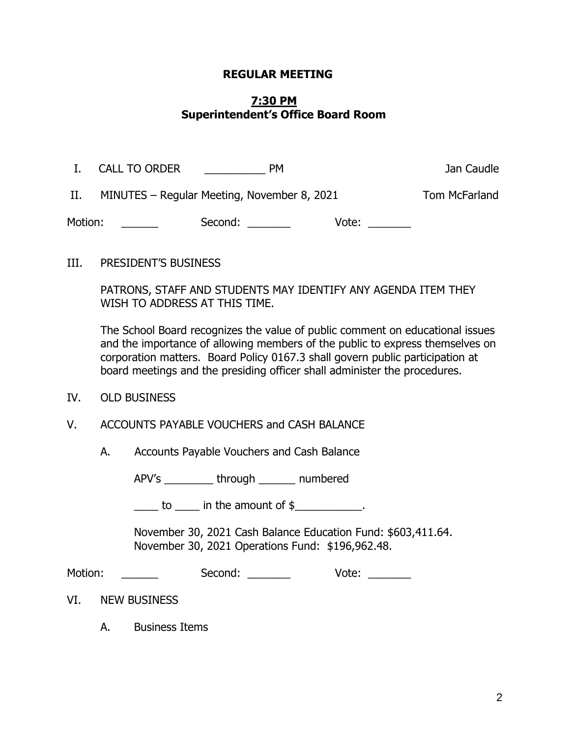### **REGULAR MEETING**

## **7:30 PM Superintendent's Office Board Room**

| $\mathbf{I}$ . | <b>CALL TO ORDER</b> | <b>PM</b>                                   |       | Jan Caudle    |
|----------------|----------------------|---------------------------------------------|-------|---------------|
| II.            |                      | MINUTES – Regular Meeting, November 8, 2021 |       | Tom McFarland |
| Motion:        |                      | Second:                                     | Vote: |               |

III. PRESIDENT'S BUSINESS

PATRONS, STAFF AND STUDENTS MAY IDENTIFY ANY AGENDA ITEM THEY WISH TO ADDRESS AT THIS TIME.

The School Board recognizes the value of public comment on educational issues and the importance of allowing members of the public to express themselves on corporation matters. Board Policy 0167.3 shall govern public participation at board meetings and the presiding officer shall administer the procedures.

- IV. OLD BUSINESS
- V. ACCOUNTS PAYABLE VOUCHERS and CASH BALANCE
	- A. Accounts Payable Vouchers and Cash Balance

APV's through numbered

 $\frac{1}{\sqrt{2\pi}}$  to  $\frac{1}{\sqrt{2\pi}}$  in the amount of \$ $\frac{1}{\sqrt{2\pi}}$ .

November 30, 2021 Cash Balance Education Fund: \$603,411.64. November 30, 2021 Operations Fund: \$196,962.48.

| Motion: | Second: | Vote: |
|---------|---------|-------|
|         |         |       |

VI. NEW BUSINESS

A. Business Items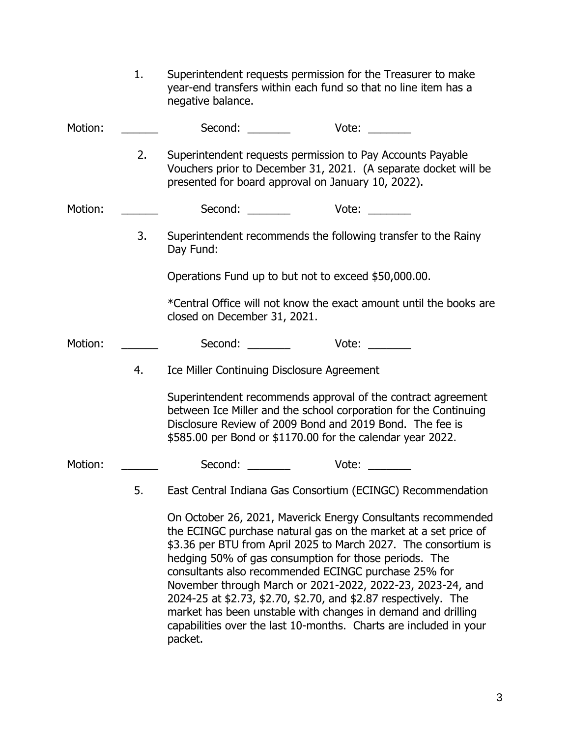|         | 1. | Superintendent requests permission for the Treasurer to make<br>year-end transfers within each fund so that no line item has a<br>negative balance.                                                                                                                                                                                                                                                                                                                                                                                                                                                  |
|---------|----|------------------------------------------------------------------------------------------------------------------------------------------------------------------------------------------------------------------------------------------------------------------------------------------------------------------------------------------------------------------------------------------------------------------------------------------------------------------------------------------------------------------------------------------------------------------------------------------------------|
| Motion: |    | Second: Vote:                                                                                                                                                                                                                                                                                                                                                                                                                                                                                                                                                                                        |
|         | 2. | Superintendent requests permission to Pay Accounts Payable<br>Vouchers prior to December 31, 2021. (A separate docket will be<br>presented for board approval on January 10, 2022).                                                                                                                                                                                                                                                                                                                                                                                                                  |
| Motion: |    | Second: $\frac{1}{2}$<br>Vote: where the set of the set of the set of the set of the set of the set of the set of the set of the set of the set of the set of the set of the set of the set of the set of the set of the set of the set of the set of t                                                                                                                                                                                                                                                                                                                                              |
|         | 3. | Superintendent recommends the following transfer to the Rainy<br>Day Fund:                                                                                                                                                                                                                                                                                                                                                                                                                                                                                                                           |
|         |    | Operations Fund up to but not to exceed \$50,000.00.                                                                                                                                                                                                                                                                                                                                                                                                                                                                                                                                                 |
|         |    | *Central Office will not know the exact amount until the books are<br>closed on December 31, 2021.                                                                                                                                                                                                                                                                                                                                                                                                                                                                                                   |
| Motion: |    | Second:<br>Vote:                                                                                                                                                                                                                                                                                                                                                                                                                                                                                                                                                                                     |
|         | 4. | Ice Miller Continuing Disclosure Agreement                                                                                                                                                                                                                                                                                                                                                                                                                                                                                                                                                           |
|         |    | Superintendent recommends approval of the contract agreement<br>between Ice Miller and the school corporation for the Continuing<br>Disclosure Review of 2009 Bond and 2019 Bond. The fee is<br>\$585.00 per Bond or \$1170.00 for the calendar year 2022.                                                                                                                                                                                                                                                                                                                                           |
| Motion: |    | Second:<br>Vote:                                                                                                                                                                                                                                                                                                                                                                                                                                                                                                                                                                                     |
|         | 5. | East Central Indiana Gas Consortium (ECINGC) Recommendation                                                                                                                                                                                                                                                                                                                                                                                                                                                                                                                                          |
|         |    | On October 26, 2021, Maverick Energy Consultants recommended<br>the ECINGC purchase natural gas on the market at a set price of<br>\$3.36 per BTU from April 2025 to March 2027. The consortium is<br>hedging 50% of gas consumption for those periods. The<br>consultants also recommended ECINGC purchase 25% for<br>November through March or 2021-2022, 2022-23, 2023-24, and<br>2024-25 at \$2.73, \$2.70, \$2.70, and \$2.87 respectively. The<br>market has been unstable with changes in demand and drilling<br>capabilities over the last 10-months. Charts are included in your<br>packet. |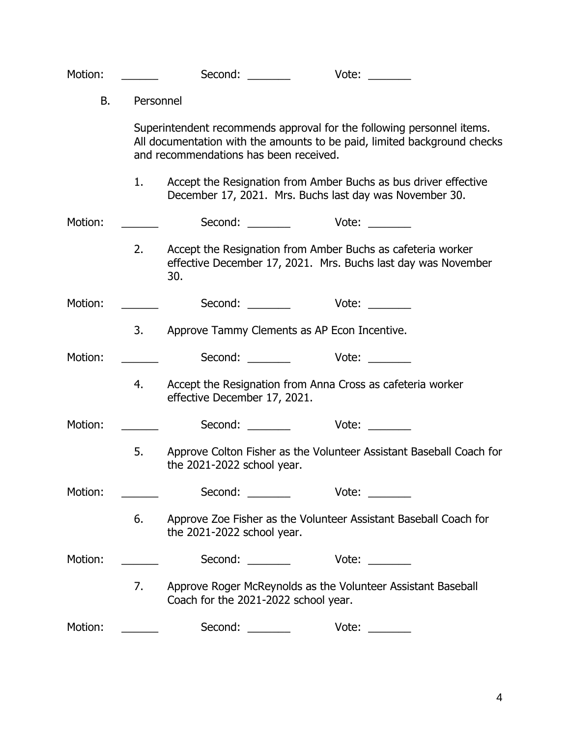| Motion:   |           | Second:                                | Vote:                                                                                                                                                                                                                                         |
|-----------|-----------|----------------------------------------|-----------------------------------------------------------------------------------------------------------------------------------------------------------------------------------------------------------------------------------------------|
| <b>B.</b> | Personnel |                                        |                                                                                                                                                                                                                                               |
|           |           | and recommendations has been received. | Superintendent recommends approval for the following personnel items.<br>All documentation with the amounts to be paid, limited background checks                                                                                             |
|           | 1.        |                                        | Accept the Resignation from Amber Buchs as bus driver effective<br>December 17, 2021. Mrs. Buchs last day was November 30.                                                                                                                    |
| Motion:   |           |                                        |                                                                                                                                                                                                                                               |
|           | 2.        | 30.                                    | Accept the Resignation from Amber Buchs as cafeteria worker<br>effective December 17, 2021. Mrs. Buchs last day was November                                                                                                                  |
| Motion:   |           |                                        | Second: __________ Vote: ______                                                                                                                                                                                                               |
|           | 3.        |                                        | Approve Tammy Clements as AP Econ Incentive.                                                                                                                                                                                                  |
| Motion:   |           |                                        | Second: Vote:                                                                                                                                                                                                                                 |
|           | 4.        | effective December 17, 2021.           | Accept the Resignation from Anna Cross as cafeteria worker                                                                                                                                                                                    |
| Motion:   |           |                                        | Second: Vote:                                                                                                                                                                                                                                 |
|           | 5.        | the 2021-2022 school year.             | Approve Colton Fisher as the Volunteer Assistant Baseball Coach for                                                                                                                                                                           |
| Motion:   |           | Second:                                | Vote:                                                                                                                                                                                                                                         |
|           | 6.        | the 2021-2022 school year.             | Approve Zoe Fisher as the Volunteer Assistant Baseball Coach for                                                                                                                                                                              |
| Motion:   |           | Second:                                | Vote:<br><u>and the state of the state of the state of the state of the state of the state of the state of the state of the state of the state of the state of the state of the state of the state of the state of the state of the state</u> |
|           | 7.        | Coach for the 2021-2022 school year.   | Approve Roger McReynolds as the Volunteer Assistant Baseball                                                                                                                                                                                  |
| Motion:   |           | Second: ________                       |                                                                                                                                                                                                                                               |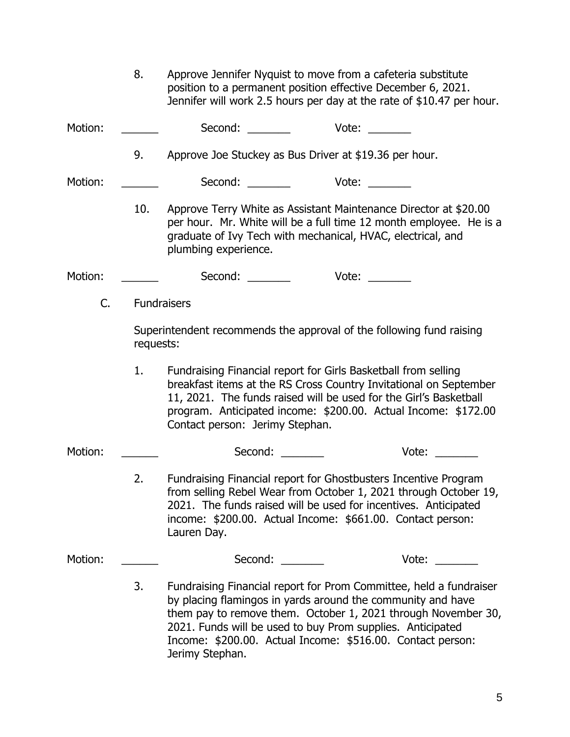|         | 8.        | Approve Jennifer Nyquist to move from a cafeteria substitute<br>position to a permanent position effective December 6, 2021.                                                                                    | Jennifer will work 2.5 hours per day at the rate of \$10.47 per hour.                                                                                                                                                          |
|---------|-----------|-----------------------------------------------------------------------------------------------------------------------------------------------------------------------------------------------------------------|--------------------------------------------------------------------------------------------------------------------------------------------------------------------------------------------------------------------------------|
| Motion: |           | Second:                                                                                                                                                                                                         | Vote: where the state of the state of the state of the state of the state of the state of the state of the state of the state of the state of the state of the state of the state of the state of the state of the state of th |
|         | 9.        | Approve Joe Stuckey as Bus Driver at \$19.36 per hour.                                                                                                                                                          |                                                                                                                                                                                                                                |
| Motion: |           | Second:                                                                                                                                                                                                         |                                                                                                                                                                                                                                |
|         | 10.       | graduate of Ivy Tech with mechanical, HVAC, electrical, and<br>plumbing experience.                                                                                                                             | Approve Terry White as Assistant Maintenance Director at \$20.00<br>per hour. Mr. White will be a full time 12 month employee. He is a                                                                                         |
| Motion: |           | Second:                                                                                                                                                                                                         | Vote:                                                                                                                                                                                                                          |
| C.      |           | <b>Fundraisers</b>                                                                                                                                                                                              |                                                                                                                                                                                                                                |
|         | requests: | Superintendent recommends the approval of the following fund raising                                                                                                                                            |                                                                                                                                                                                                                                |
|         | 1.        | Fundraising Financial report for Girls Basketball from selling<br>Contact person: Jerimy Stephan.                                                                                                               | breakfast items at the RS Cross Country Invitational on September<br>11, 2021. The funds raised will be used for the Girl's Basketball<br>program. Anticipated income: \$200.00. Actual Income: \$172.00                       |
| Motion: |           | Second:                                                                                                                                                                                                         | Vote:                                                                                                                                                                                                                          |
|         | 2.        | Fundraising Financial report for Ghostbusters Incentive Program<br>2021. The funds raised will be used for incentives. Anticipated<br>income: \$200.00. Actual Income: \$661.00. Contact person:<br>Lauren Day. | from selling Rebel Wear from October 1, 2021 through October 19,                                                                                                                                                               |
| Motion: |           | Second:<br><u>and the state</u>                                                                                                                                                                                 | Vote:                                                                                                                                                                                                                          |
|         | 3.        | by placing flamingos in yards around the community and have<br>2021. Funds will be used to buy Prom supplies. Anticipated                                                                                       | Fundraising Financial report for Prom Committee, held a fundraiser<br>them pay to remove them. October 1, 2021 through November 30,                                                                                            |

Income: \$200.00. Actual Income: \$516.00. Contact person:

Jerimy Stephan.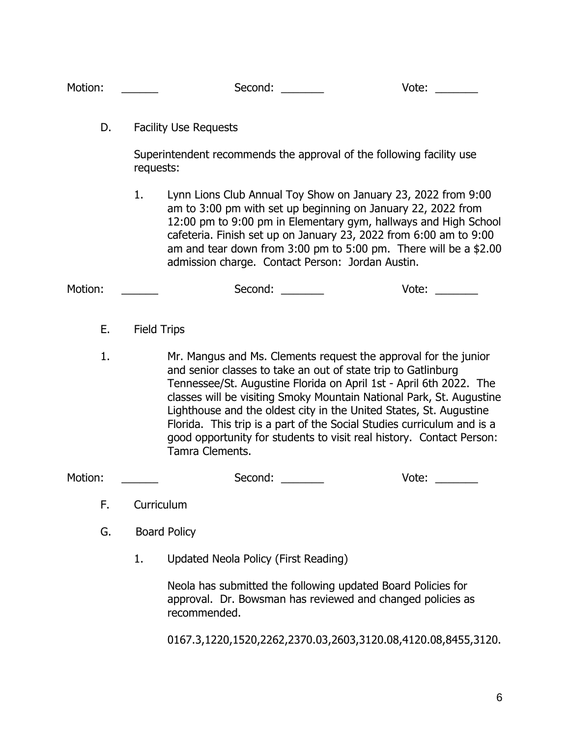Motion: \_\_\_\_\_\_\_ Second: \_\_\_\_\_\_ Vote: \_\_\_\_\_

D. Facility Use Requests

Superintendent recommends the approval of the following facility use requests:

1. Lynn Lions Club Annual Toy Show on January 23, 2022 from 9:00 am to 3:00 pm with set up beginning on January 22, 2022 from 12:00 pm to 9:00 pm in Elementary gym, hallways and High School cafeteria. Finish set up on January 23, 2022 from 6:00 am to 9:00 am and tear down from 3:00 pm to 5:00 pm. There will be a \$2.00 admission charge. Contact Person: Jordan Austin.

| Motion: | Second: | Vote: |  |
|---------|---------|-------|--|
|---------|---------|-------|--|

- E. Field Trips
- 1. Mr. Mangus and Ms. Clements request the approval for the junior and senior classes to take an out of state trip to Gatlinburg Tennessee/St. Augustine Florida on April 1st - April 6th 2022. The classes will be visiting Smoky Mountain National Park, St. Augustine Lighthouse and the oldest city in the United States, St. Augustine Florida. This trip is a part of the Social Studies curriculum and is a good opportunity for students to visit real history. Contact Person: Tamra Clements.

Motion: example and Second: the Second: the Vote:  $V$ ote:  $V$ 

- F. Curriculum
- G. Board Policy
	- 1. Updated Neola Policy (First Reading)

Neola has submitted the following updated Board Policies for approval. Dr. Bowsman has reviewed and changed policies as recommended.

0167.3,1220,1520,2262,2370.03,2603,3120.08,4120.08,8455,3120.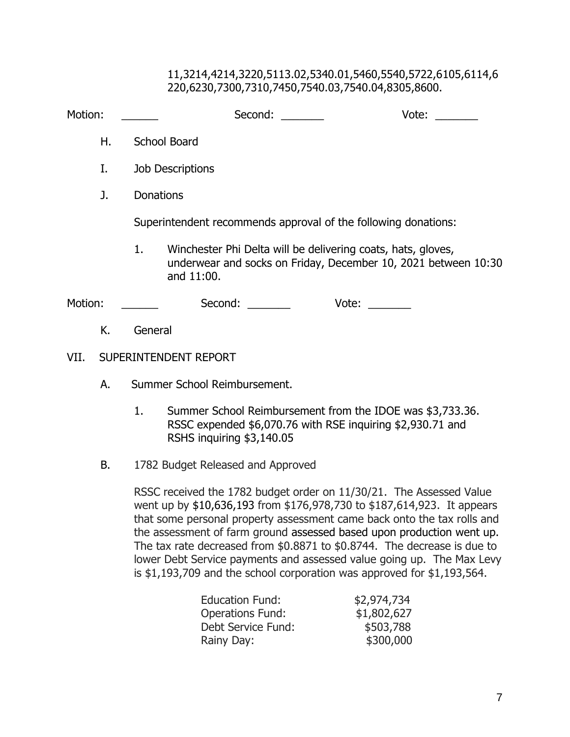### 11,3214,4214,3220,5113.02,5340.01,5460,5540,5722,6105,6114,6 220,6230,7300,7310,7450,7540.03,7540.04,8305,8600.

| Motion: | Second:<br>Vote:                                                                                                                                   |
|---------|----------------------------------------------------------------------------------------------------------------------------------------------------|
| Н.      | School Board                                                                                                                                       |
| I.      | <b>Job Descriptions</b>                                                                                                                            |
| J.      | <b>Donations</b>                                                                                                                                   |
|         | Superintendent recommends approval of the following donations:                                                                                     |
|         | Winchester Phi Delta will be delivering coats, hats, gloves,<br>1.<br>underwear and socks on Friday, December 10, 2021 between 10:30<br>and 11:00. |
| Motion: | Second:<br>Vote:                                                                                                                                   |
| Κ.      | General                                                                                                                                            |

- VII. SUPERINTENDENT REPORT
	- A. Summer School Reimbursement.
		- 1. Summer School Reimbursement from the IDOE was \$3,733.36. RSSC expended \$6,070.76 with RSE inquiring \$2,930.71 and RSHS inquiring \$3,140.05
	- B. 1782 Budget Released and Approved

 RSSC received the 1782 budget order on 11/30/21. The Assessed Value went up by \$10,636,193 from \$176,978,730 to \$187,614,923. It appears that some personal property assessment came back onto the tax rolls and the assessment of farm ground assessed based upon production went up. The tax rate decreased from \$0.8871 to \$0.8744. The decrease is due to lower Debt Service payments and assessed value going up. The Max Levy is \$1,193,709 and the school corporation was approved for \$1,193,564.

| <b>Education Fund:</b>  | \$2,974,734 |
|-------------------------|-------------|
| <b>Operations Fund:</b> | \$1,802,627 |
| Debt Service Fund:      | \$503,788   |
| Rainy Day:              | \$300,000   |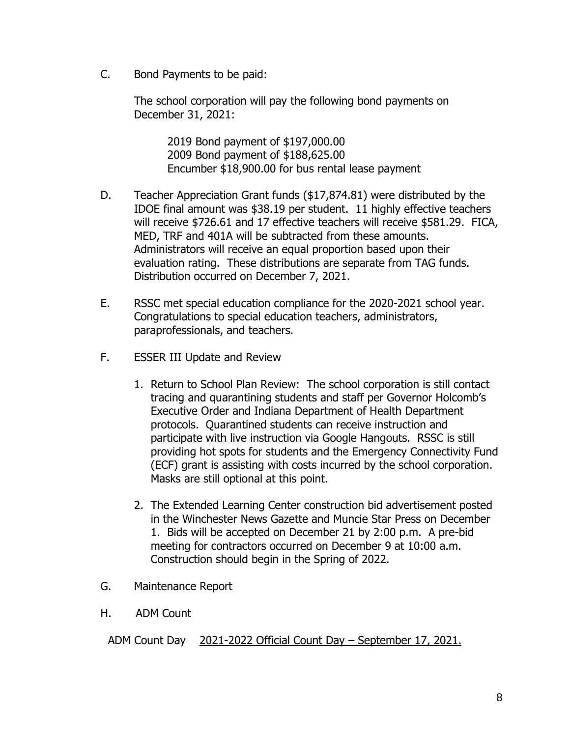C. Bond Payments to be paid:

The school corporation will pay the following bond payments on December 31, 2021:

> 2019 Bond payment of \$197,000.00 2009 Bond payment of \$188,625.00 Encumber \$18,900.00 for bus rental lease payment

- D. Teacher Appreciation Grant funds (\$17,874.81) were distributed by the IDOE final amount was \$38.19 per student. 11 highly effective teachers will receive \$726.61 and 17 effective teachers will receive \$581.29. FICA, MED, TRF and 401A will be subtracted from these amounts. Administrators will receive an equal proportion based upon their evaluation rating. These distributions are separate from TAG funds. Distribution occurred on December 7, 2021.
- E. RSSC met special education compliance for the 2020-2021 school year. Congratulations to special education teachers, administrators, paraprofessionals, and teachers.
- F. ESSER III Update and Review
	- 1. Return to School Plan Review: The school corporation is still contact tracing and quarantining students and staff per Governor Holcomb's Executive Order and Indiana Department of Health Department protocols. Quarantined students can receive instruction and participate with live instruction via Google Hangouts. RSSC is still providing hot spots for students and the Emergency Connectivity Fund (ECF) grant is assisting with costs incurred by the school corporation. Masks are still optional at this point.
	- 2. The Extended Learning Center construction bid advertisement posted in the Winchester News Gazette and Muncie Star Press on December 1. Bids will be accepted on December 21 by 2:00 p.m. A pre-bid meeting for contractors occurred on December 9 at 10:00 a.m. Construction should begin in the Spring of 2022.
- G. Maintenance Report
- H. ADM Count

ADM Count Day 2021-2022 Official Count Day – September 17, 2021.